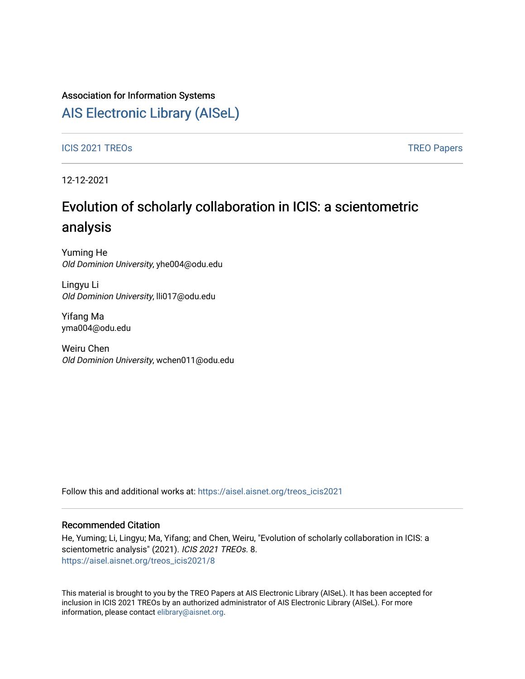## Association for Information Systems

# [AIS Electronic Library \(AISeL\)](https://aisel.aisnet.org/)

### ICIS 2021 TREOS Notes that the contract of the contract of the contract of the contract of the contract of the contract of the contract of the contract of the contract of the contract of the contract of the contract of the

12-12-2021

# Evolution of scholarly collaboration in ICIS: a scientometric analysis

Yuming He Old Dominion University, yhe004@odu.edu

Lingyu Li Old Dominion University, lli017@odu.edu

Yifang Ma yma004@odu.edu

Weiru Chen Old Dominion University, wchen011@odu.edu

Follow this and additional works at: [https://aisel.aisnet.org/treos\\_icis2021](https://aisel.aisnet.org/treos_icis2021?utm_source=aisel.aisnet.org%2Ftreos_icis2021%2F8&utm_medium=PDF&utm_campaign=PDFCoverPages) 

### Recommended Citation

He, Yuming; Li, Lingyu; Ma, Yifang; and Chen, Weiru, "Evolution of scholarly collaboration in ICIS: a scientometric analysis" (2021). ICIS 2021 TREOs. 8. [https://aisel.aisnet.org/treos\\_icis2021/8](https://aisel.aisnet.org/treos_icis2021/8?utm_source=aisel.aisnet.org%2Ftreos_icis2021%2F8&utm_medium=PDF&utm_campaign=PDFCoverPages) 

This material is brought to you by the TREO Papers at AIS Electronic Library (AISeL). It has been accepted for inclusion in ICIS 2021 TREOs by an authorized administrator of AIS Electronic Library (AISeL). For more information, please contact [elibrary@aisnet.org.](mailto:elibrary@aisnet.org%3E)